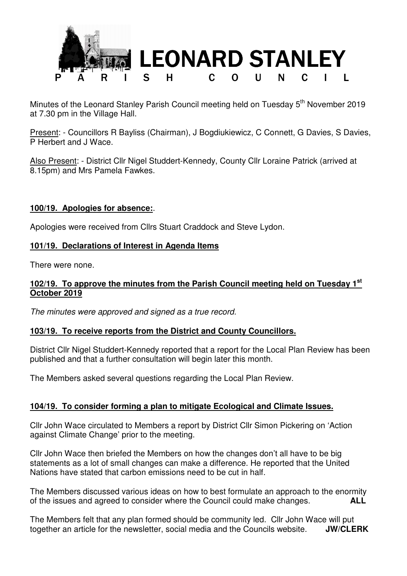

Minutes of the Leonard Stanley Parish Council meeting held on Tuesday 5<sup>th</sup> November 2019 at 7.30 pm in the Village Hall.

Present: - Councillors R Bayliss (Chairman), J Bogdiukiewicz, C Connett, G Davies, S Davies, P Herbert and J Wace.

Also Present: - District Cllr Nigel Studdert-Kennedy, County Cllr Loraine Patrick (arrived at 8.15pm) and Mrs Pamela Fawkes.

### **100/19. Apologies for absence:**.

Apologies were received from Cllrs Stuart Craddock and Steve Lydon.

#### **101/19. Declarations of Interest in Agenda Items**

There were none.

#### **102/19. To approve the minutes from the Parish Council meeting held on Tuesday 1st October 2019**

The minutes were approved and signed as a true record.

#### **103/19. To receive reports from the District and County Councillors.**

District Cllr Nigel Studdert-Kennedy reported that a report for the Local Plan Review has been published and that a further consultation will begin later this month.

The Members asked several questions regarding the Local Plan Review.

### **104/19. To consider forming a plan to mitigate Ecological and Climate Issues.**

Cllr John Wace circulated to Members a report by District Cllr Simon Pickering on 'Action against Climate Change' prior to the meeting.

Cllr John Wace then briefed the Members on how the changes don't all have to be big statements as a lot of small changes can make a difference. He reported that the United Nations have stated that carbon emissions need to be cut in half.

The Members discussed various ideas on how to best formulate an approach to the enormity of the issues and agreed to consider where the Council could make changes. **ALL**

The Members felt that any plan formed should be community led. Cllr John Wace will put together an article for the newsletter, social media and the Councils website. **JW/CLERK**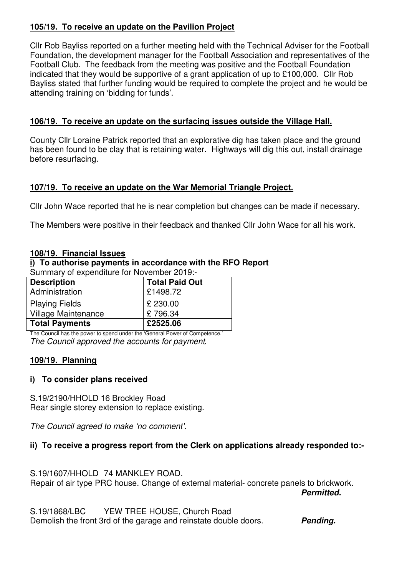# **105/19. To receive an update on the Pavilion Project**

Cllr Rob Bayliss reported on a further meeting held with the Technical Adviser for the Football Foundation, the development manager for the Football Association and representatives of the Football Club. The feedback from the meeting was positive and the Football Foundation indicated that they would be supportive of a grant application of up to £100,000. Cllr Rob Bayliss stated that further funding would be required to complete the project and he would be attending training on 'bidding for funds'.

### **106/19. To receive an update on the surfacing issues outside the Village Hall.**

County Cllr Loraine Patrick reported that an explorative dig has taken place and the ground has been found to be clay that is retaining water. Highways will dig this out, install drainage before resurfacing.

## **107/19. To receive an update on the War Memorial Triangle Project.**

Cllr John Wace reported that he is near completion but changes can be made if necessary.

The Members were positive in their feedback and thanked Cllr John Wace for all his work.

### **108/19. Financial Issues**

# **i) To authorise payments in accordance with the RFO Report**

| Summary of expenditure for November 2019:- |                       |
|--------------------------------------------|-----------------------|
| <b>Description</b>                         | <b>Total Paid Out</b> |
| Administration                             | £1498.72              |
| <b>Playing Fields</b>                      | £ 230.00              |
| Village Maintenance                        | £796.34               |

The Council has the power to spend under the 'General Power of Competence.' The Council approved the accounts for payment*.* 

**Total Payments £2525.06**

### **109/19. Planning**

### **i) To consider plans received**

S.19/2190/HHOLD 16 Brockley Road Rear single storey extension to replace existing.

The Council agreed to make 'no comment'.

# **ii) To receive a progress report from the Clerk on applications already responded to:-**

S.19/1607/HHOLD 74 MANKLEY ROAD.

Repair of air type PRC house. Change of external material- concrete panels to brickwork.<br>Permitted. **Permitted.** 

S.19/1868/LBC YEW TREE HOUSE, Church Road Demolish the front 3rd of the garage and reinstate double doors. **Pending.**